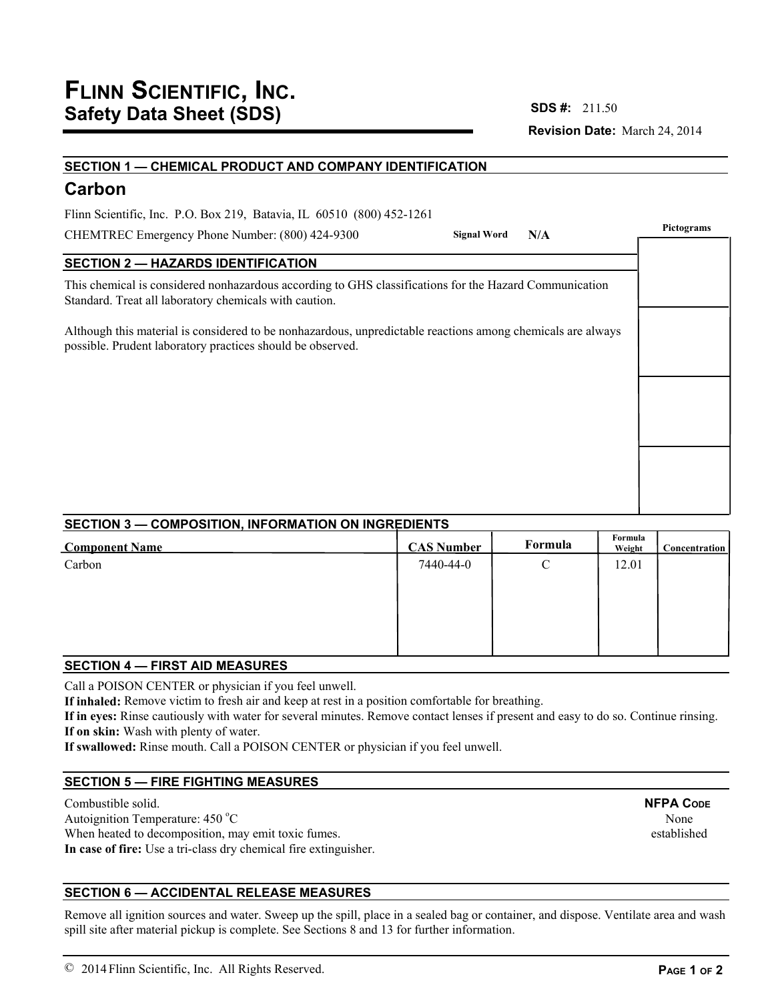# **Revision Date:** March 24, 2014 **SDS #:**

# **SECTION 1 — CHEMICAL PRODUCT AND COMPANY IDENTIFICATION Carbon SECTION 2 — HAZARDS IDENTIFICATION** This chemical is considered nonhazardous according to GHS classifications for the Hazard Communication Standard. Treat all laboratory chemicals with caution. Although this material is considered to be nonhazardous, unpredictable reactions among chemicals are always possible. Prudent laboratory practices should be observed. CHEMTREC Emergency Phone Number: (800) 424-9300 Flinn Scientific, Inc. P.O. Box 219, Batavia, IL 60510 (800) 452-1261 **Pictograms Signal Word N/A**

# **SECTION 3 — COMPOSITION, INFORMATION ON INGREDIENTS**

| <b>Component Name</b> | <b>CAS Number</b> | Formula | Formula<br>Weight | <b>Concentration</b> |
|-----------------------|-------------------|---------|-------------------|----------------------|
| Carbon                | 7440-44-0         | С       | 12.01             |                      |
|                       |                   |         |                   |                      |
|                       |                   |         |                   |                      |
|                       |                   |         |                   |                      |
|                       |                   |         |                   |                      |

# **SECTION 4 — FIRST AID MEASURES**

Call a POISON CENTER or physician if you feel unwell.

**If inhaled:** Remove victim to fresh air and keep at rest in a position comfortable for breathing.

**If in eyes:** Rinse cautiously with water for several minutes. Remove contact lenses if present and easy to do so. Continue rinsing. **If on skin:** Wash with plenty of water.

**If swallowed:** Rinse mouth. Call a POISON CENTER or physician if you feel unwell.

# **SECTION 5 — FIRE FIGHTING MEASURES**

Combustible solid. Autoignition Temperature: 450 °C When heated to decomposition, may emit toxic fumes. **In case of fire:** Use a tri-class dry chemical fire extinguisher.

# **SECTION 6 — ACCIDENTAL RELEASE MEASURES**

Remove all ignition sources and water. Sweep up the spill, place in a sealed bag or container, and dispose. Ventilate area and wash spill site after material pickup is complete. See Sections 8 and 13 for further information.

**PAGE 1 OF 2**

None established

**NFPA CODE**